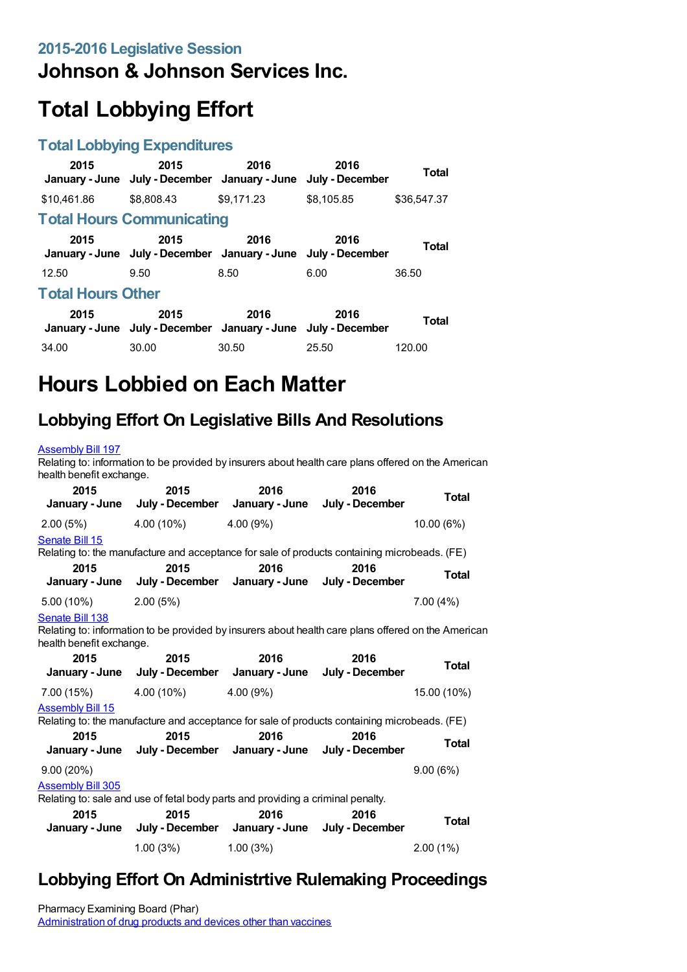## **Johnson & Johnson Services Inc.**

# **Total Lobbying Effort**

#### **Total Lobbying Expenditures**

| 2015                     | 2015<br>January - June July - December January - June                 | 2016       | 2016<br>July - December | Total        |  |
|--------------------------|-----------------------------------------------------------------------|------------|-------------------------|--------------|--|
| \$10.461.86              | \$8,808.43                                                            | \$9.171.23 | \$8.105.85              | \$36.547.37  |  |
|                          | <b>Total Hours Communicating</b>                                      |            |                         |              |  |
| 2015                     | 2015<br>January - June July - December January - June July - December | 2016       | 2016                    | <b>Total</b> |  |
| 12.50                    | 9.50                                                                  | 8.50       | 6.00                    | 36.50        |  |
| <b>Total Hours Other</b> |                                                                       |            |                         |              |  |
| 2015                     | 2015<br>January - June July - December January - June July - December | 2016       | 2016                    | <b>Total</b> |  |
| 34.00                    | 30.00                                                                 | 30.50      | 25.50                   | 120.00       |  |

# **Hours Lobbied on Each Matter**

## **Lobbying Effort On Legislative Bills And Resolutions**

#### [Assembly](https://lobbying.wi.gov/What/BillInformation/2015REG/Information/11984?tab=Efforts) Bill 197

Relating to: information to be provided by insurers about health care plans offered on the American health benefit exchange.

| 2015<br>January - June                                                                                                                                  | 2015<br>July - December                                               | 2016                                                   | 2016<br>January - June July - December                                                       | <b>Total</b> |
|---------------------------------------------------------------------------------------------------------------------------------------------------------|-----------------------------------------------------------------------|--------------------------------------------------------|----------------------------------------------------------------------------------------------|--------------|
| 2.00(5%)                                                                                                                                                | 4.00 (10%)                                                            | 4.00 (9%)                                              |                                                                                              | 10.00 (6%)   |
| Senate Bill 15                                                                                                                                          |                                                                       |                                                        | Relating to: the manufacture and acceptance for sale of products containing microbeads. (FE) |              |
| 2015<br>January - June                                                                                                                                  | 2015                                                                  | 2016<br>July - December January - June July - December | 2016                                                                                         | Total        |
| 5.00 (10%)                                                                                                                                              | 2.00(5%)                                                              |                                                        |                                                                                              | 7.00(4%)     |
| Senate Bill 138<br>Relating to: information to be provided by insurers about health care plans offered on the American<br>health benefit exchange.      |                                                                       |                                                        |                                                                                              |              |
| 2015<br>January - June                                                                                                                                  | 2015<br>July - December                                               | 2016<br>January - June                                 | 2016<br>July - December                                                                      | Total        |
| 7.00 (15%)                                                                                                                                              | 4.00 (10%)                                                            | 4.00(9%)                                               |                                                                                              | 15.00 (10%)  |
| <b>Assembly Bill 15</b><br>Relating to: the manufacture and acceptance for sale of products containing microbeads. (FE)<br>2015<br>2016<br>2015<br>2016 |                                                                       |                                                        |                                                                                              |              |
|                                                                                                                                                         | January - June July - December January - June July - December         |                                                        |                                                                                              | <b>Total</b> |
| 9.00(20%)                                                                                                                                               |                                                                       |                                                        |                                                                                              | 9.00(6%)     |
| <b>Assembly Bill 305</b><br>Relating to: sale and use of fetal body parts and providing a criminal penalty.                                             |                                                                       |                                                        |                                                                                              |              |
| 2015                                                                                                                                                    | 2015<br>January - June July - December January - June July - December | 2016                                                   | 2016                                                                                         | <b>Total</b> |
|                                                                                                                                                         | $1.00(3\%)$ $1.00(3\%)$                                               |                                                        |                                                                                              | $2.00(1\%)$  |

#### **Lobbying Effort On Administrtive Rulemaking Proceedings**